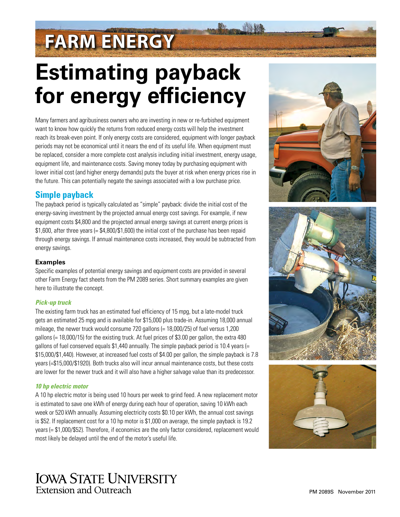# **FARM ENERGY**

# **Estimating payback for energy efficiency**

Many farmers and agribusiness owners who are investing in new or re-furbished equipment want to know how quickly the returns from reduced energy costs will help the investment reach its break-even point. If only energy costs are considered, equipment with longer payback periods may not be economical until it nears the end of its useful life. When equipment must be replaced, consider a more complete cost analysis including initial investment, energy usage, equipment life, and maintenance costs. Saving money today by purchasing equipment with lower initial cost (and higher energy demands) puts the buyer at risk when energy prices rise in the future. This can potentially negate the savings associated with a low purchase price.

## **Simple payback**

The payback period is typically calculated as "simple" payback: divide the initial cost of the energy-saving investment by the projected annual energy cost savings. For example, if new equipment costs \$4,800 and the projected annual energy savings at current energy prices is \$1,600, after three years (= \$4,800/\$1,600) the initial cost of the purchase has been repaid through energy savings. If annual maintenance costs increased, they would be subtracted from energy savings.

## **Examples**

Specific examples of potential energy savings and equipment costs are provided in several other Farm Energy fact sheets from the PM 2089 series. Short summary examples are given here to illustrate the concept.

### *Pick-up truck*

The existing farm truck has an estimated fuel efficiency of 15 mpg, but a late-model truck gets an estimated 25 mpg and is available for \$15,000 plus trade-in. Assuming 18,000 annual mileage, the newer truck would consume 720 gallons (= 18,000/25) of fuel versus 1,200 gallons (= 18,000/15) for the existing truck. At fuel prices of \$3.00 per gallon, the extra 480 gallons of fuel conserved equals \$1,440 annually. The simple payback period is 10.4 years (= \$15,000/\$1,440). However, at increased fuel costs of \$4.00 per gallon, the simple payback is 7.8 years (=\$15,000/\$1920). Both trucks also will incur annual maintenance costs, but these costs are lower for the newer truck and it will also have a higher salvage value than its predecessor.

### *10 hp electric motor*

A 10 hp electric motor is being used 10 hours per week to grind feed. A new replacement motor is estimated to save one kWh of energy during each hour of operation, saving 10 kWh each week or 520 kWh annually. Assuming electricity costs \$0.10 per kWh, the annual cost savings is \$52. If replacement cost for a 10 hp motor is \$1,000 on average, the simple payback is 19.2 years (= \$1,000/\$52). Therefore, if economics are the only factor considered, replacement would most likely be delayed until the end of the motor's useful life.







# **IOWA STATE UNIVERSITY** Extension and Outreach